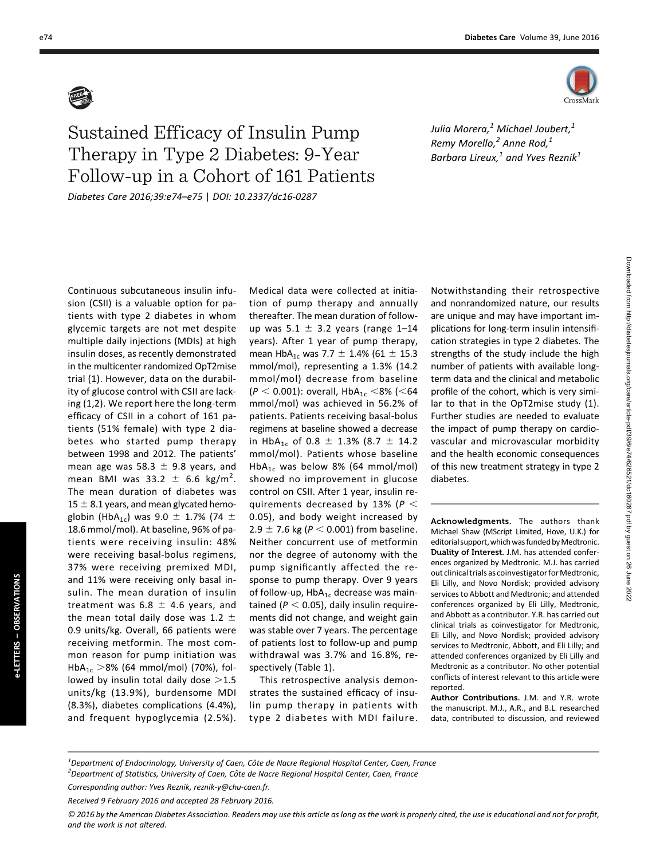

## Sustained Efficacy of Insulin Pump Therapy in Type 2 Diabetes: 9-Year Follow-up in a Cohort of 161 Patients Diabetes Care 2016;39:e74–e75 | DOI: 10.2337/dc16-0287

Julia Morera, $^1$  Michael Joubert, $^1$ Remy Morello, $^2$  Anne Rod, $^1$ Barbara Lireux, $<sup>1</sup>$  and Yves Reznik<sup>1</sup></sup>

sion (CSII) is a valuable option for patients with type 2 diabetes in whom glycemic targets are not met despite multiple daily injections (MDIs) at high insulin doses, as recently demonstrated in the multicenter randomized OpT2mise trial (1). However, data on the durability of glucose control with CSII are lacking (1,2). We report here the long-term efficacy of CSII in a cohort of 161 patients (51% female) with type 2 diabetes who started pump therapy between 1998 and 2012. The patients' mean age was 58.3  $\pm$  9.8 years, and mean BMI was  $33.2 \pm 6.6$  kg/m<sup>2</sup>. The mean duration of diabetes was  $15 \pm 8.1$  years, and mean glycated hemoglobin (HbA<sub>1c</sub>) was 9.0  $\pm$  1.7% (74  $\pm$ 18.6 mmol/mol). At baseline, 96% of patients were receiving insulin: 48% were receiving basal-bolus regimens, 37% were receiving premixed MDI, and 11% were receiving only basal insulin. The mean duration of insulin treatment was  $6.8 \pm 4.6$  years, and the mean total daily dose was 1.2  $\pm$ 0.9 units/kg. Overall, 66 patients were receiving metformin. The most common reason for pump initiation was HbA<sub>1c</sub>  $>8\%$  (64 mmol/mol) (70%), followed by insulin total daily dose  $>1.5$ units/kg (13.9%), burdensome MDI (8.3%), diabetes complications (4.4%), and frequent hypoglycemia (2.5%).

Continuous subcutaneous insulin infu-

Medical data were collected at initiation of pump therapy and annually thereafter. The mean duration of followup was  $5.1 \pm 3.2$  years (range 1-14 years). After 1 year of pump therapy, mean  $HbA_{1c}$  was 7.7  $\pm$  1.4% (61  $\pm$  15.3 mmol/mol), representing a 1.3% (14.2 mmol/mol) decrease from baseline  $(P < 0.001)$ : overall, HbA<sub>1c</sub> <8% (<64) mmol/mol) was achieved in 56.2% of patients. Patients receiving basal-bolus regimens at baseline showed a decrease in HbA<sub>1c</sub> of 0.8  $\pm$  1.3% (8.7  $\pm$  14.2 mmol/mol). Patients whose baseline HbA<sub>1c</sub> was below 8% (64 mmol/mol) showed no improvement in glucose control on CSII. After 1 year, insulin requirements decreased by 13% ( $P <$ 0.05), and body weight increased by 2.9  $\pm$  7.6 kg ( $P < 0.001$ ) from baseline. Neither concurrent use of metformin nor the degree of autonomy with the pump significantly affected the response to pump therapy. Over 9 years of follow-up,  $HbA_{1c}$  decrease was maintained ( $P < 0.05$ ), daily insulin requirements did not change, and weight gain was stable over 7 years. The percentage of patients lost to follow-up and pump withdrawal was 3.7% and 16.8%, respectively (Table 1).

This retrospective analysis demonstrates the sustained efficacy of insulin pump therapy in patients with type 2 diabetes with MDI failure. Notwithstanding their retrospective and nonrandomized nature, our results are unique and may have important implications for long-term insulin intensification strategies in type 2 diabetes. The strengths of the study include the high number of patients with available longterm data and the clinical and metabolic profile of the cohort, which is very similar to that in the OpT2mise study (1). Further studies are needed to evaluate the impact of pump therapy on cardiovascular and microvascular morbidity and the health economic consequences of this new treatment strategy in type 2 diabetes.

Acknowledgments. The authors thank Michael Shaw (MScript Limited, Hove, U.K.) for editorial support, which was funded by Medtronic. Duality of Interest. J.M. has attended conferences organized by Medtronic. M.J. has carried out clinical trials as coinvestigator for Medtronic. Eli Lilly, and Novo Nordisk; provided advisory services to Abbott and Medtronic; and attended conferences organized by Eli Lilly, Medtronic, and Abbott as a contributor. Y.R. has carried out clinical trials as coinvestigator for Medtronic, Eli Lilly, and Novo Nordisk; provided advisory services to Medtronic, Abbott, and Eli Lilly; and attended conferences organized by Eli Lilly and Medtronic as a contributor. No other potential conflicts of interest relevant to this article were reported.

Author Contributions. J.M. and Y.R. wrote the manuscript. M.J., A.R., and B.L. researched data, contributed to discussion, and reviewed

<sup>1&</sup>lt;br>Pepartment of Endocrinology, University of Caen, Côte de Nacre Regional Hospital Center, Caen, France<br><sup>2</sup>Denartment of Statistics, University of Caen, Côte de Nasre Begional Hospital Center, Caen, France  $<sup>2</sup>$ Department of Statistics, University of Caen, Côte de Nacre Regional Hospital Center, Caen, France</sup>

Corresponding author: Yves Reznik, [reznik-y@chu-caen.fr](mailto:reznik-y@chu-caen.fr).

Received 9 February 2016 and accepted 28 February 2016.

<sup>© 2016</sup> by the American Diabetes Association. Readers may use this article as long as the work is properly cited, the use is educational and not for profit, and the work is not altered.